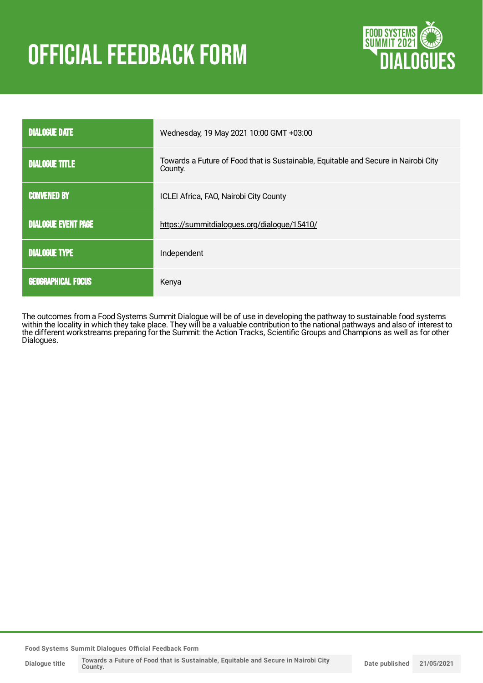# **OFFICIAL FEEDBACK FORM**



| <b>DIALOGUE DATE</b>                                         | Wednesday, 19 May 2021 10:00 GMT +03:00                                                       |
|--------------------------------------------------------------|-----------------------------------------------------------------------------------------------|
| <b>DIALOGUE TITLE</b>                                        | Towards a Future of Food that is Sustainable, Equitable and Secure in Nairobi City<br>County. |
| <b>CONVENED BY</b><br>ICLEI Africa, FAO, Nairobi City County |                                                                                               |
| <b>DIALOGUE EVENT PAGE</b>                                   | https://summitdialogues.org/dialogue/15410/                                                   |
| <b>DIALOGUE TYPE</b>                                         | Independent                                                                                   |
| <b>GEOGRAPHICAL FOCUS</b>                                    | Kenya                                                                                         |

The outcomes from a Food Systems Summit Dialogue will be of use in developing the pathway to sustainable food systems within the locality in which they take place. They will be a valuable contribution to the national pathways and also of interest to the different workstreams preparing for the Summit: the Action Tracks, Scientific Groups and Champions as well as for other Dialogues.

**Food Systems Summit Dialogues Official Feedback Form**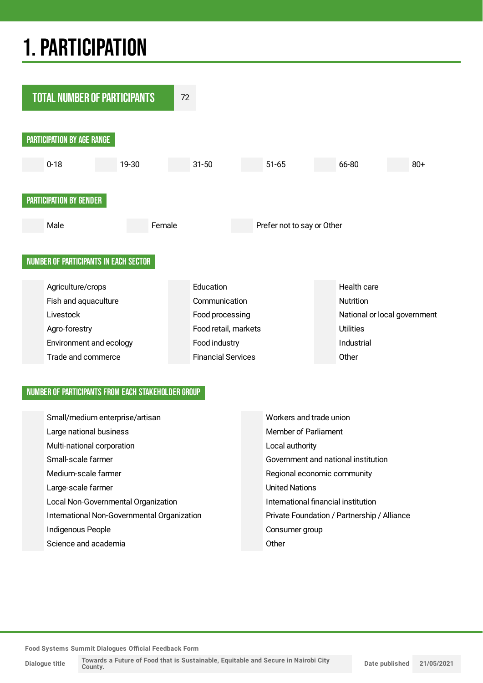## 1.PARTICIPATION



#### NUMBER OF PARTICIPANTS FROM EACH STAKEHOLDER GROUP

| Small/medium enterprise/artisan             | Workers and trade union                     |
|---------------------------------------------|---------------------------------------------|
| Large national business                     | Member of Parliament                        |
| Multi-national corporation                  | Local authority                             |
| Small-scale farmer                          | Government and national institution         |
| Medium-scale farmer                         | Regional economic community                 |
| Large-scale farmer                          | <b>United Nations</b>                       |
| Local Non-Governmental Organization         | International financial institution         |
| International Non-Governmental Organization | Private Foundation / Partnership / Alliance |
| Indigenous People                           | Consumer group                              |
| Science and academia                        | Other                                       |

**Food Systems Summit Dialogues Official Feedback Form**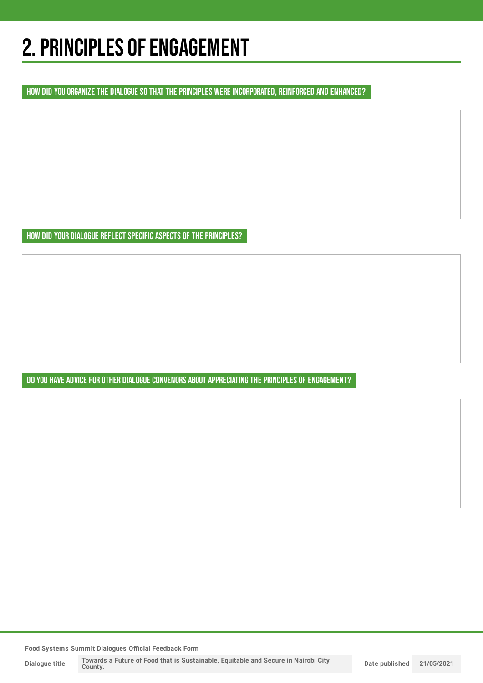## 2. PRINCIPLES OF ENGAGEMENT

HOW DID YOU ORGANIZE THE DIALOGUE SO THAT THE PRINCIPLES WERE INCORPORATED, REINFORCED AND ENHANCED?

HOW DID YOUR DIALOGUE REFLECT SPECIFIC ASPECTS OF THE PRINCIPLES?

DO YOU HAVE ADVICE FOR OTHER DIALOGUE CONVENORS ABOUT APPRECIATING THE PRINCIPLES OF ENGAGEMENT?

**Food Systems Summit Dialogues Official Feedback Form**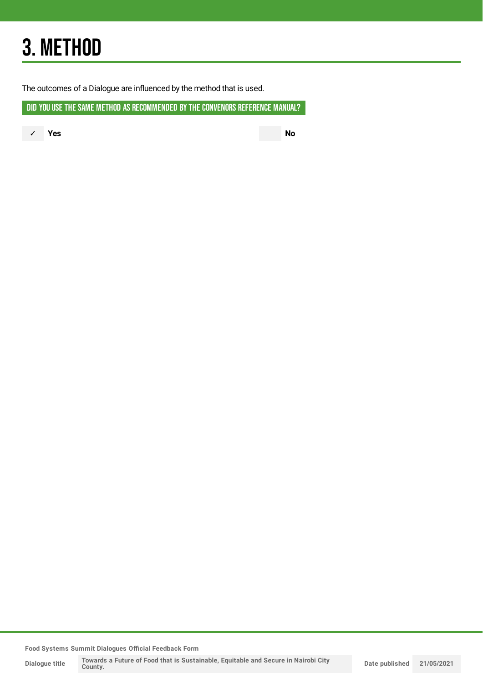## 3. METHOD

The outcomes of a Dialogue are influenced by the method that is used.

DID YOU USE THE SAME METHOD AS RECOMMENDED BY THE CONVENORS REFERENCE MANUAL?

✓ **Yes No**

**Food Systems Summit Dialogues Official Feedback Form**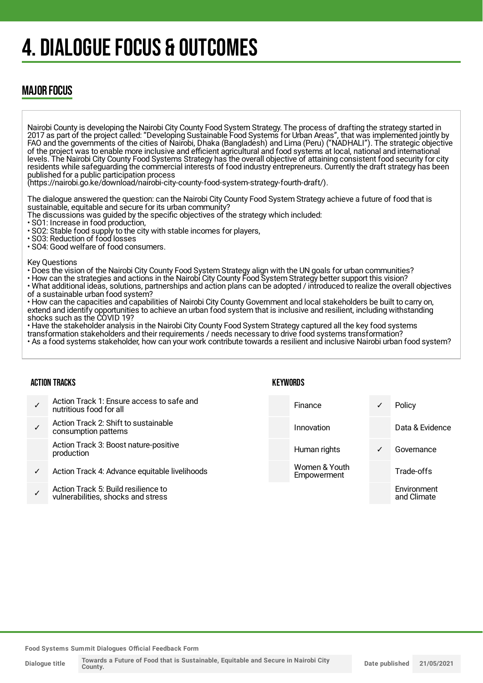## 4. DIALOGUE FOCUS & OUTCOMES

### MAJOR FOCUS

Nairobi County is developing the Nairobi City County Food System Strategy. The process of drafting the strategy started in 2017 as part of the project called: "Developing Sustainable Food Systems for Urban Areas", that was implemented jointly by FAO and the governments of the cities of Nairobi, Dhaka (Bangladesh) and Lima (Peru) ("NADHALI"). The strategic objective of the project was to enable more inclusive and efficient agricultural and food systems at local, national and international levels. The Nairobi City County Food Systems Strategy has the overall objective of attaining consistent food security for city residents while safeguarding the commercial interests of food industry entrepreneurs. Currently the draft strategy has been published for a public participation process (https://nairobi.go.ke/download/nairobi-city-county-food-system-strategy-fourth-draft/). The dialogue answered the question: can the Nairobi City County Food System Strategy achieve a future of food that is

sustainable, equitable and secure for its urban community? The discussions was guided by the specific objectives of the strategy which included:

- SO1: Increase in food production,
- SO2: Stable food supply to the city with stable incomes for players,
- SO3: Reduction of food losses
- SO4: Good welfare of food consumers.

Key Questions

- Does the vision of the Nairobi City County Food System Strategy align with the UN goals for urban communities?
- How can the strategies and actions in the Nairobi City County Food System Strategy better support this vision?
- What additional ideas, solutions, partnerships and action plans can be adopted / introduced to realize the overall objectives of a sustainable urban food system?
- How can the capacities and capabilities of Nairobi City County Government and local stakeholders be built to carry on, extend and identify opportunities to achieve an urban food system that is inclusive and resilient, including withstanding shocks such as the COVID 19?

• Have the stakeholder analysis in the Nairobi City County Food System Strategy captured all the key food systems

transformation stakeholders and their requirements / needs necessary to drive food systems transformation? • As a food systems stakeholder, how can your work contribute towards a resilient and inclusive Nairobi urban food system?

**KEYWORDS** 

#### ACTION TRACKS

|   | <b>AVIIVA IIIAVIV</b>                                                     | . |                              |              |                            |
|---|---------------------------------------------------------------------------|---|------------------------------|--------------|----------------------------|
|   | Action Track 1: Ensure access to safe and<br>nutritious food for all      |   | Finance                      |              | Policy                     |
|   | Action Track 2: Shift to sustainable<br>consumption patterns              |   | Innovation                   |              | Data & Evidence            |
|   | Action Track 3: Boost nature-positive<br>production                       |   | Human rights                 | $\checkmark$ | Governance                 |
| ✓ | Action Track 4: Advance equitable livelihoods                             |   | Women & Youth<br>Empowerment |              | Trade-offs                 |
|   | Action Track 5: Build resilience to<br>vulnerabilities, shocks and stress |   |                              |              | Environment<br>and Climate |
|   |                                                                           |   |                              |              |                            |

**Food Systems Summit Dialogues Official Feedback Form**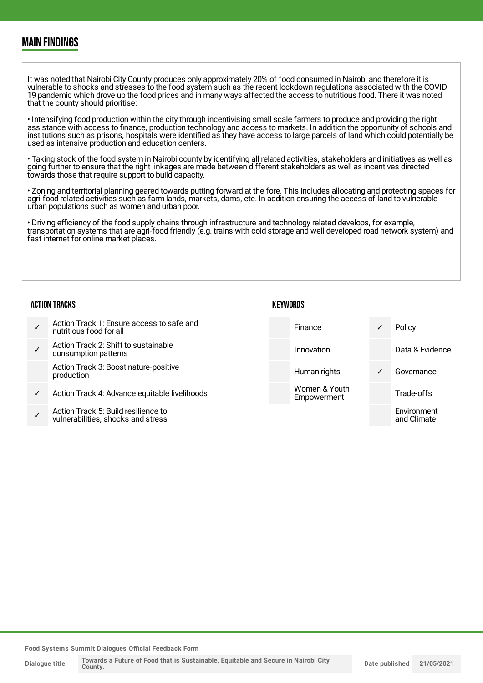### MAIN FINDINGS

It was noted that Nairobi City County produces only approximately 20% of food consumed in Nairobi and therefore it is vulnerable to shocks and stresses to the food system such as the recent lockdown regulations associated with the COVID 19 pandemic which drove up the food prices and in many ways affected the access to nutritious food. There it was noted that the county should prioritise:

• Intensifying food production within the city through incentivising small scale farmers to produce and providing the right assistance with access to finance, production technology and access to markets. In addition the opportunity of schools and institutions such as prisons, hospitals were identified as they have access to large parcels of land which could potentially be used as intensive production and education centers.

• Taking stock of the food system in Nairobi county by identifying all related activities, stakeholders and initiatives as well as going further to ensure that the right linkages are made between different stakeholders as well as incentives directed towards those that require support to build capacity.

• Zoning and territorial planning geared towards putting forward at the fore. This includes allocating and protecting spaces for agri-food related activities such as farm lands, markets, dams, etc. In addition ensuring the access of land to vulnerable urban populations such as women and urban poor.

• Driving efficiency of the food supply chains through infrastructure and technology related develops, for example, transportation systems that are agri-food friendly (e.g. trains with cold storage and well developed road network system) and fast internet for online market places.

#### ACTION TRACKS

| KEYWORDS |
|----------|
|----------|

✓ Action Track 1: Ensure access to safe and nutritious food for all ✓ Action Track 2: Shift to sustainable consumption patterns Action Track 3: Boost nature-positive production Action Track 4: Advance equitable livelihoods ✓ Action Track 5: Build resilience to Finance ✓ Policy Innovation Data & Evidence Human rights **v** Governance Women & Youth **Empowerment** Trade-offs Environment

**Food Systems Summit Dialogues Official Feedback Form**

vulnerabilities, shocks and stress

and Climate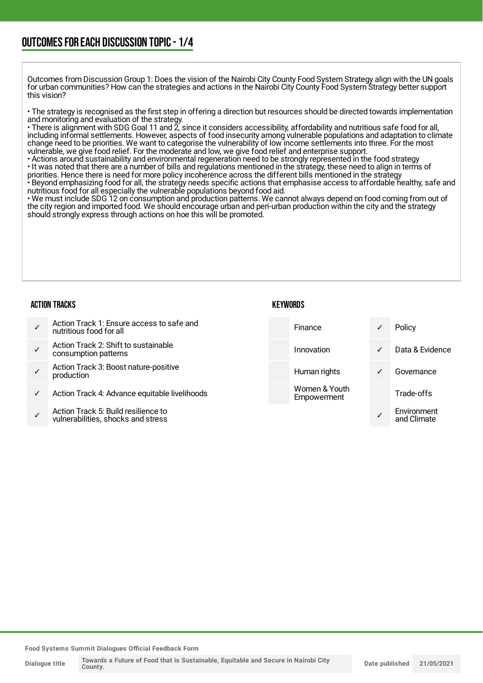Outcomes from Discussion Group 1: Does the vision of the Nairobi City County Food System Strategy align with the UN goals for urban communities? How can the strategies and actions in the Nairobi City County Food System Strategy better support this vision?

• The strategy is recognised as the first step in offering a direction but resources should be directed towards implementation and monitoring and evaluation of the strategy.

• There is alignment with SDG Goal 11 and 2, since it considers accessibility, affordability and nutritious safe food for all, including informal settlements. However, aspects of food insecurity among vulnerable populations and adaptation to climate change need to be priorities. We want to categorise the vulnerability of low income settlements into three. For the most vulnerable, we give food relief. For the moderate and low, we give food relief and enterprise support.

• Actions around sustainability and environmental regeneration need to be strongly represented in the food strategy • It was noted that there are a number of bills and regulations mentioned in the strategy, these need to align in terms of priorities. Hence there is need for more policy incoherence across the different bills mentioned in the strategy

• Beyond emphasizing food for all, the strategy needs specific actions that emphasise access to affordable healthy, safe and nutritious food for all especially the vulnerable populations beyond food aid.

• We must include SDG 12 on consumption and production patterns. We cannot always depend on food coming from out of the city region and imported food. We should encourage urban and peri-urban production within the city and the strategy should strongly express through actions on hoe this will be promoted.

#### ACTION TRACKS

| <b>KEYWORDS</b> |
|-----------------|
|-----------------|

- ✓ Action Track 1: Ensure access to safe and nutritious food for all ✓ Action Track 2: Shift to sustainable consumption patterns ✓ Action Track 3: Boost nature-positive production Action Track 4: Advance equitable livelihoods Finance ✓ Policy Innovation ✓ Data & Evidence Human rights **v** Governance Women & Youth **Empowerment** Trade-offs **Environment**
- ✓ Action Track 5: Build resilience to vulnerabilities, shocks and stress

**Food Systems Summit Dialogues Official Feedback Form**

**Dialogue title**

✓

and Climate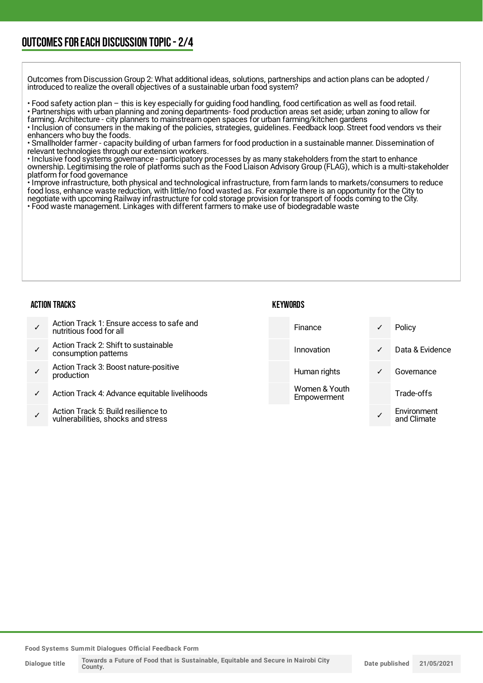### OUTCOMESFOR EACH DISCUSSION TOPIC- 2/4

Outcomes from Discussion Group 2: What additional ideas, solutions, partnerships and action plans can be adopted / introduced to realize the overall objectives of a sustainable urban food system?

• Food safety action plan – this is key especially for guiding food handling, food certification as well as food retail.

• Partnerships with urban planning and zoning departments- food production areas set aside; urban zoning to allow for farming. Architecture - city planners to mainstream open spaces for urban farming/kitchen gardens

• Inclusion of consumers in the making of the policies, strategies, guidelines. Feedback loop. Street food vendors vs their enhancers who buy the foods.

• Smallholder farmer - capacity building of urban farmers for food production in a sustainable manner. Dissemination of relevant technologies through our extension workers.

• Inclusive food systems governance - participatory processes by as many stakeholders from the start to enhance ownership. Legitimising the role of platforms such as the Food Liaison Advisory Group (FLAG), which is a multi-stakeholder platform for food governance

• Improve infrastructure, both physical and technological infrastructure, from farm lands to markets/consumers to reduce food loss, enhance waste reduction, with little/no food wasted as. For example there is an opportunity for the City to negotiate with upcoming Railway infrastructure for cold storage provision for transport of foods coming to the City.

• Food waste management. Linkages with different farmers to make use of biodegradable waste

#### ACTION TRACKS

#### **KEYWORDS**

| Action Track 1: Ensure access to safe and<br>nutritious food for all | Finance                      | ✓ | Policy          |
|----------------------------------------------------------------------|------------------------------|---|-----------------|
| Action Track 2: Shift to sustainable<br>consumption patterns         | Innovation                   | ✓ | Data & Evidence |
| Action Track 3: Boost nature-positive<br>production                  | Human rights                 | ✓ | Governance      |
| Action Track 4: Advance equitable livelihoods                        | Women & Youth<br>Empowerment |   | Trade-offs      |
| Action Track 5: Build resilience to                                  |                              |   | Environment     |

✓ Action Track 5: Build resilience to vulnerabilities, shocks and stress

**Food Systems Summit Dialogues Official Feedback Form**

**Dialogue title**

✓

and Climate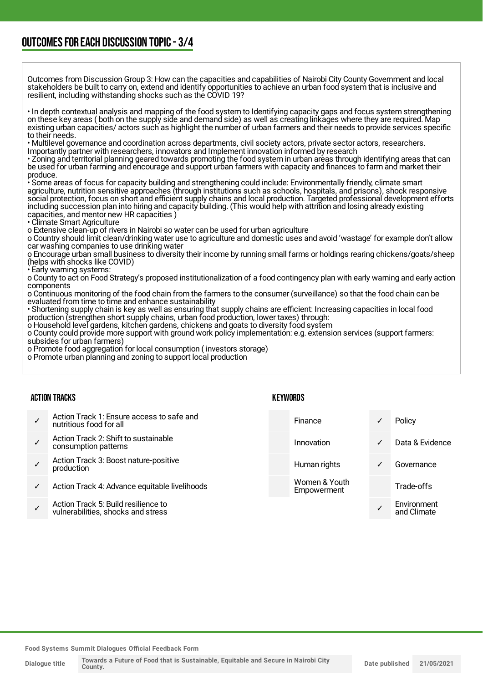Outcomes from Discussion Group 3: How can the capacities and capabilities of Nairobi City County Government and local stakeholders be built to carry on, extend and identify opportunities to achieve an urban food system that is inclusive and resilient, including withstanding shocks such as the COVID 19?

• In depth contextual analysis and mapping of the food system to Identifying capacity gaps and focus system strengthening on these key areas ( both on the supply side and demand side) as well as creating linkages where they are required. Map existing urban capacities/ actors such as highlight the number of urban farmers and their needs to provide services specific to their needs.

• Multilevel governance and coordination across departments, civil society actors, private sector actors, researchers.

Importantly partner with researchers, innovators and Implement innovation informed by research

• Zoning and territorial planning geared towards promoting the food system in urban areas through identifying areas that can be used for urban farming and encourage and support urban farmers with capacity and finances to farm and market their produce.

• Some areas of focus for capacity building and strengthening could include: Environmentally friendly, climate smart agriculture, nutrition sensitive approaches (through institutions such as schools, hospitals, and prisons), shock responsive social protection, focus on short and efficient supply chains and local production. Targeted professional development efforts including succession plan into hiring and capacity building. (This would help with attrition and losing already existing capacities, and mentor new HR capacities )

• Climate Smart Agriculture

o Extensive clean-up of rivers in Nairobi so water can be used for urban agriculture

o Country should limit clean/drinking water use to agriculture and domestic uses and avoid 'wastage' for example don't allow car washing companies to use drinking water

o Encourage urban small business to diversity their income by running small farms or holdings rearing chickens/goats/sheep (helps with shocks like COVID)

• Early warning systems:

o County to act on Food Strategy's proposed institutionalization of a food contingency plan with early warning and early action components

o Continuous monitoring of the food chain from the farmers to the consumer (surveillance) so that the food chain can be evaluated from time to time and enhance sustainability

• Shortening supply chain is key as well as ensuring that supply chains are efficient: Increasing capacities in local food production (strengthen short supply chains, urban food production, lower taxes) through:

o Household level gardens, kitchen gardens, chickens and goats to diversity food system

o County could provide more support with ground work policy implementation: e.g. extension services (support farmers: subsides for urban farmers)

o Promote food aggregation for local consumption ( investors storage)

o Promote urban planning and zoning to support local production

#### ACTION TRACKS

|   | Action Track 1: Ensure access to safe and<br>nutritious food for all      | Finance                      |              | Policy                     |
|---|---------------------------------------------------------------------------|------------------------------|--------------|----------------------------|
|   | Action Track 2: Shift to sustainable<br>consumption patterns              | Innovation                   | $\checkmark$ | Data & Evidence            |
|   | Action Track 3: Boost nature-positive<br>production                       | Human rights                 | $\checkmark$ | Governance                 |
| ✓ | Action Track 4: Advance equitable livelihoods                             | Women & Youth<br>Empowerment |              | Trade-offs                 |
|   | Action Track 5: Build resilience to<br>vulnerabilities, shocks and stress |                              |              | Environment<br>and Climate |
|   |                                                                           |                              |              |                            |

**KEYWORDS** 

**Food Systems Summit Dialogues Official Feedback Form**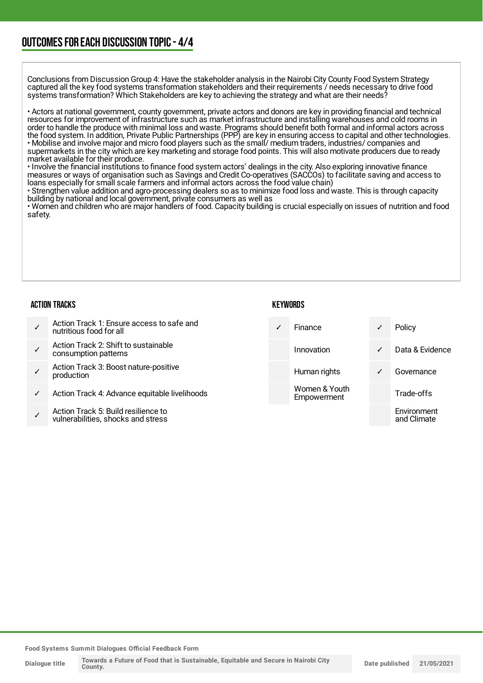### OUTCOMESFOR EACH DISCUSSION TOPIC- 4/4

Conclusions from Discussion Group 4: Have the stakeholder analysis in the Nairobi City County Food System Strategy captured all the key food systems transformation stakeholders and their requirements / needs necessary to drive food systems transformation? Which Stakeholders are key to achieving the strategy and what are their needs?

• Actors at national government, county government, private actors and donors are key in providing financial and technical resources for improvement of infrastructure such as market infrastructure and installing warehouses and cold rooms in order to handle the produce with minimal loss and waste. Programs should benefit both formal and informal actors across the food system. In addition, Private Public Partnerships (PPP) are key in ensuring access to capital and other technologies. • Mobilise and involve major and micro food players such as the small/ medium traders, industries/ companies and supermarkets in the city which are key marketing and storage food points. This will also motivate producers due to ready market available for their produce.

• Involve the financial institutions to finance food system actors' dealings in the city. Also exploring innovative finance measures or ways of organisation such as Savings and Credit Co-operatives (SACCOs) to facilitate saving and access to loans especially for small scale farmers and informal actors across the food value chain)

• Strengthen value addition and agro-processing dealers so as to minimize food loss and waste. This is through capacity building by national and local government, private consumers as well as

• Women and children who are major handlers of food. Capacity building is crucial especially on issues of nutrition and food safety.

#### ACTION TRACKS

#### **KEYWORDS**

- ✓ Action Track 1: Ensure access to safe and nutritious food for all ✓ Action Track 2: Shift to sustainable consumption patterns ✓ Action Track 3: Boost nature-positive production Action Track 4: Advance equitable livelihoods ✓ Finance ✓ Policy Innovation ✓ Data & Evidence Human rights **v** Governance Women & Youth **Empowerment** Trade-offs
- ✓ Action Track 5: Build resilience to vulnerabilities, shocks and stress

**Food Systems Summit Dialogues Official Feedback Form**

**Dialogue title**

Environment and Climate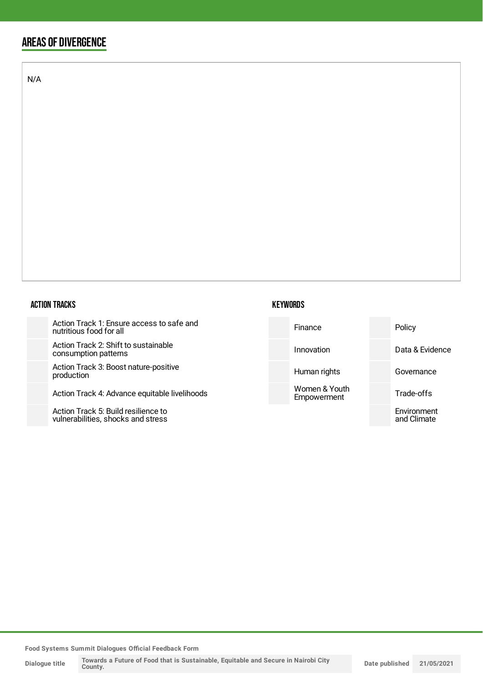### AREAS OF DIVERGENCE

N/A

#### ACTION TRACKS

Action Track 1: Ensure access to s nutritious food for all

Action Track 2: Shift to sustainable consumption patterns

Action Track 3: Boost nature-positi production

Action Track 4: Advance equitable

Action Track 5: Build resilience to vulnerabilities, shocks and stress



| safe and    | Finance                      | Policy                     |
|-------------|------------------------------|----------------------------|
| e           | Innovation                   | Data & Evidence            |
| ive         | Human rights                 | Governance                 |
| livelihoods | Women & Youth<br>Empowerment | Trade-offs                 |
|             |                              | Environment<br>and Climate |

**Food Systems Summit Dialogues Official Feedback Form**